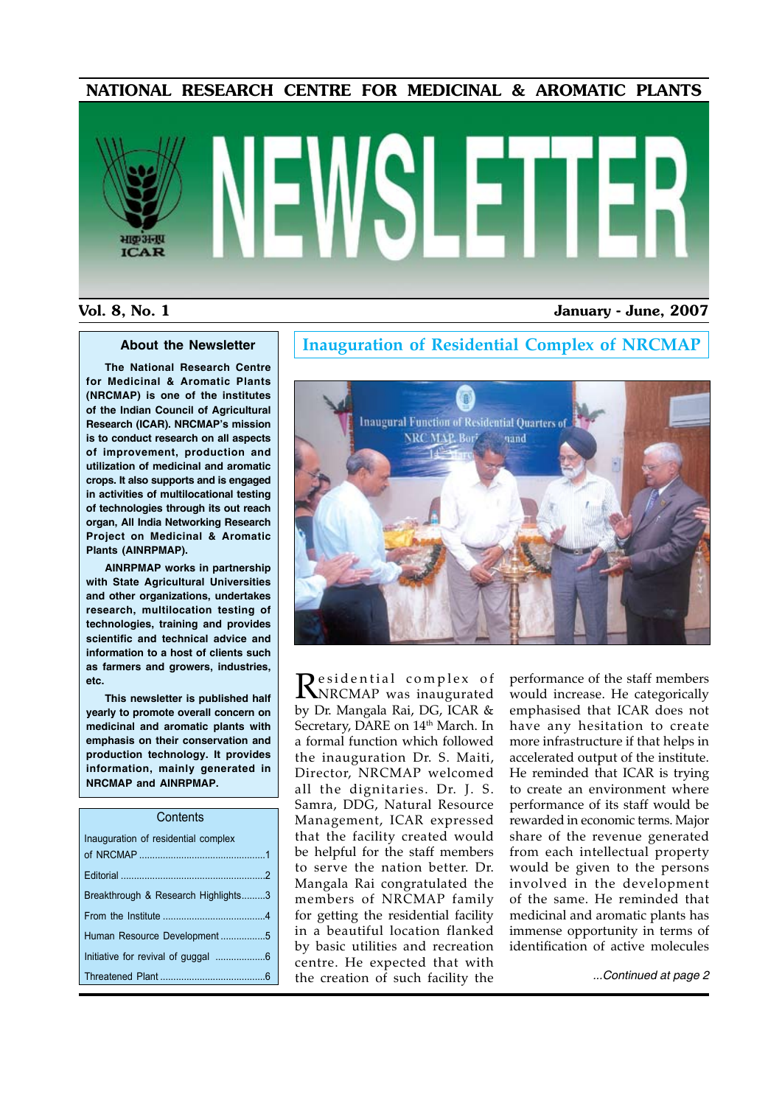#### NATIONAL RESEARCH CENTRE FOR MEDICINAL & AROMATIC PLANTS

# भाकअनप **ICAR**

#### Vol. 8, No. 1 January - June, 2007

#### **About the Newsletter**

**The National Research Centre for Medicinal & Aromatic Plants (NRCMAP) is one of the institutes of the Indian Council of Agricultural Research (ICAR). NRCMAP's mission is to conduct research on all aspects of improvement, production and utilization of medicinal and aromatic crops. It also supports and is engaged in activities of multilocational testing of technologies through its out reach organ, All India Networking Research Project on Medicinal & Aromatic Plants (AINRPMAP).**

**AINRPMAP works in partnership with State Agricultural Universities and other organizations, undertakes research, multilocation testing of technologies, training and provides scientific and technical advice and information to a host of clients such as farmers and growers, industries, etc.**

**This newsletter is published half yearly to promote overall concern on medicinal and aromatic plants with emphasis on their conservation and production technology. It provides information, mainly generated in NRCMAP and AINRPMAP.**

| Contents                            |  |
|-------------------------------------|--|
| Inauguration of residential complex |  |
|                                     |  |
|                                     |  |
| Breakthrough & Research Highlights3 |  |
|                                     |  |
| Human Resource Development5         |  |
|                                     |  |
|                                     |  |
|                                     |  |

#### **Inauguration of Residential Complex of NRCMAP**



Residential complex of<br>NRCMAP was inaugurated by Dr. Mangala Rai, DG, ICAR & Secretary, DARE on 14<sup>th</sup> March. In a formal function which followed the inauguration Dr. S. Maiti, Director, NRCMAP welcomed all the dignitaries. Dr. J. S. Samra, DDG, Natural Resource Management, ICAR expressed that the facility created would be helpful for the staff members to serve the nation better. Dr. Mangala Rai congratulated the members of NRCMAP family for getting the residential facility in a beautiful location flanked by basic utilities and recreation centre. He expected that with the creation of such facility the

performance of the staff members would increase. He categorically emphasised that ICAR does not have any hesitation to create more infrastructure if that helps in accelerated output of the institute. He reminded that ICAR is trying to create an environment where performance of its staff would be rewarded in economic terms. Major share of the revenue generated from each intellectual property would be given to the persons involved in the development of the same. He reminded that medicinal and aromatic plants has immense opportunity in terms of identification of active molecules

*...Continued at page 2*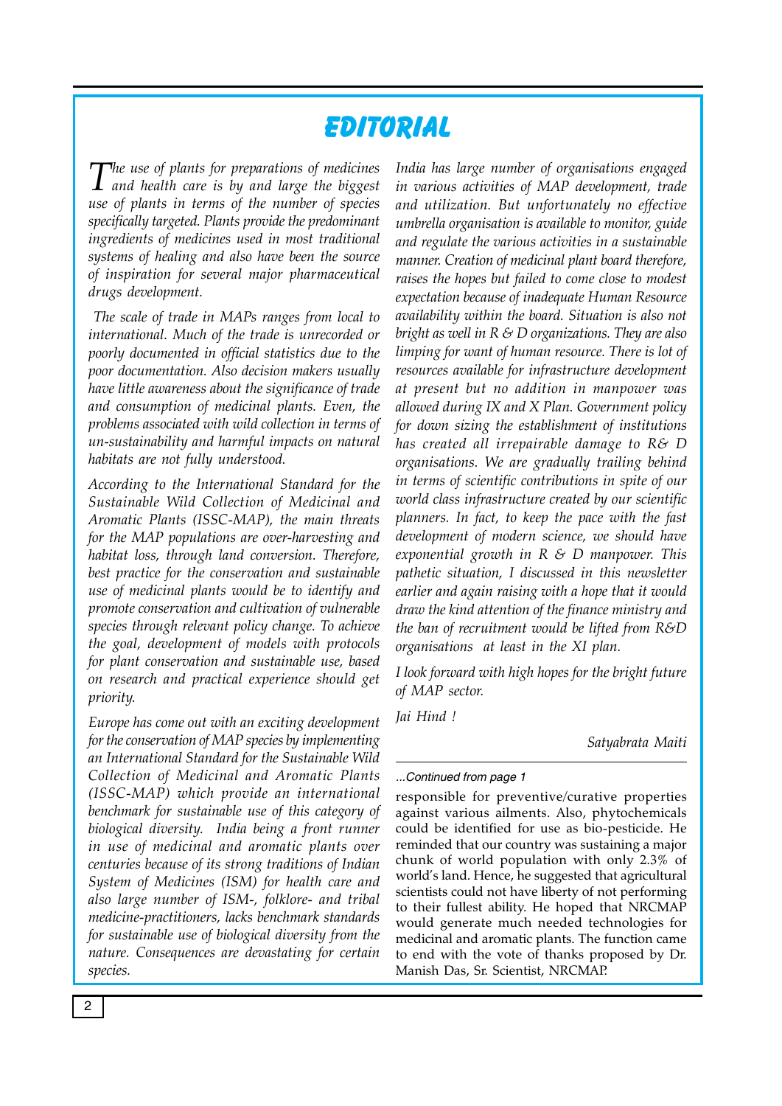# **Editorial**

*The use of plants for preparations of medicines and health care is by and large the biggest use of plants in terms of the number of species specifically targeted. Plants provide the predominant ingredients of medicines used in most traditional systems of healing and also have been the source of inspiration for several major pharmaceutical drugs development.*

 *The scale of trade in MAPs ranges from local to international. Much of the trade is unrecorded or poorly documented in official statistics due to the poor documentation. Also decision makers usually have little awareness about the significance of trade and consumption of medicinal plants. Even, the problems associated with wild collection in terms of un-sustainability and harmful impacts on natural habitats are not fully understood.*

*According to the International Standard for the Sustainable Wild Collection of Medicinal and Aromatic Plants (ISSC-MAP), the main threats for the MAP populations are over-harvesting and habitat loss, through land conversion. Therefore, best practice for the conservation and sustainable use of medicinal plants would be to identify and promote conservation and cultivation of vulnerable species through relevant policy change. To achieve the goal, development of models with protocols for plant conservation and sustainable use, based on research and practical experience should get priority.* 

*Europe has come out with an exciting development for the conservation of MAP species by implementing an International Standard for the Sustainable Wild Collection of Medicinal and Aromatic Plants (ISSC-MAP) which provide an international benchmark for sustainable use of this category of biological diversity. India being a front runner in use of medicinal and aromatic plants over centuries because of its strong traditions of Indian System of Medicines (ISM) for health care and also large number of ISM-, folklore- and tribal medicine-practitioners, lacks benchmark standards for sustainable use of biological diversity from the nature. Consequences are devastating for certain species.* 

*India has large number of organisations engaged in various activities of MAP development, trade and utilization. But unfortunately no effective umbrella organisation is available to monitor, guide and regulate the various activities in a sustainable manner. Creation of medicinal plant board therefore, raises the hopes but failed to come close to modest expectation because of inadequate Human Resource availability within the board. Situation is also not bright as well in R & D organizations. They are also limping for want of human resource. There is lot of resources available for infrastructure development at present but no addition in manpower was allowed during IX and X Plan. Government policy for down sizing the establishment of institutions has created all irrepairable damage to R& D organisations. We are gradually trailing behind in terms of scientific contributions in spite of our world class infrastructure created by our scientific planners. In fact, to keep the pace with the fast development of modern science, we should have exponential growth in R & D manpower. This pathetic situation, I discussed in this newsletter earlier and again raising with a hope that it would draw the kind attention of the finance ministry and the ban of recruitment would be lifted from R&D organisations at least in the XI plan.* 

*I look forward with high hopes for the bright future of MAP sector.*

*Jai Hind !*

*Satyabrata Maiti*

#### *...Continued from page 1*

responsible for preventive/curative properties against various ailments. Also, phytochemicals could be identified for use as bio-pesticide. He reminded that our country was sustaining a major chunk of world population with only 2.3% of world's land. Hence, he suggested that agricultural scientists could not have liberty of not performing to their fullest ability. He hoped that NRCMAP would generate much needed technologies for medicinal and aromatic plants. The function came to end with the vote of thanks proposed by Dr. Manish Das, Sr. Scientist, NRCMAP.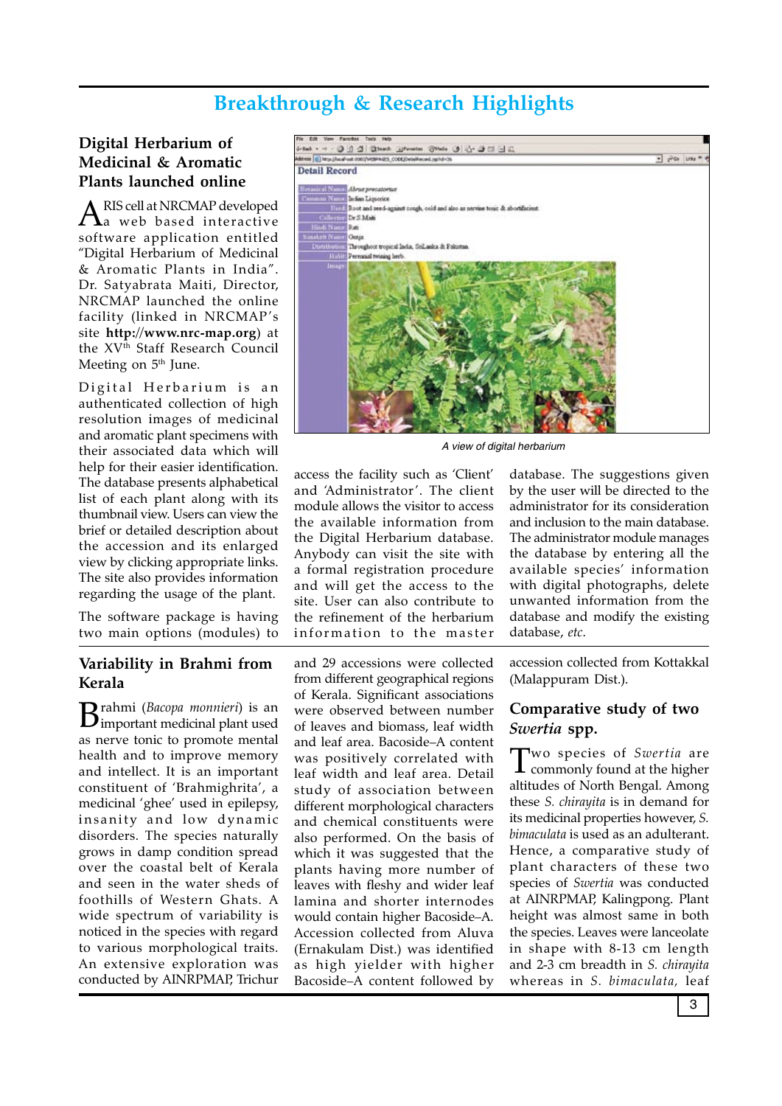# **Breakthrough & Research Highlights**

#### **Digital Herbarium of Medicinal & Aromatic Plants launched online**

ARIS cell at NRCMAP developed<br>a web based interactive software application entitled "Digital Herbarium of Medicinal & Aromatic Plants in India". Dr. Satyabrata Maiti, Director, NRCMAP launched the online facility (linked in NRCMAP's site **http://www.nrc-map.org**) at the XV<sup>th</sup> Staff Research Council Meeting on  $5<sup>th</sup>$  June.

Digital Herbarium is an authenticated collection of high resolution images of medicinal and aromatic plant specimens with their associated data which will help for their easier identification. The database presents alphabetical list of each plant along with its thumbnail view. Users can view the brief or detailed description about the accession and its enlarged view by clicking appropriate links. The site also provides information regarding the usage of the plant.

The software package is having two main options (modules) to

#### **Variability in Brahmi from Kerala**

 $B$ rahmi (*Bacopa monnieri*) is an **interpretate descriptional plant** used as nerve tonic to promote mental health and to improve memory and intellect. It is an important constituent of 'Brahmighrita', a medicinal 'ghee' used in epilepsy, insanity and low dynamic disorders. The species naturally grows in damp condition spread over the coastal belt of Kerala and seen in the water sheds of foothills of Western Ghats. A wide spectrum of variability is noticed in the species with regard to various morphological traits. An extensive exploration was conducted by AINRPMAP, Trichur



*A view of digital herbarium*

access the facility such as 'Client' and 'Administrator '. The client module allows the visitor to access the available information from the Digital Herbarium database. Anybody can visit the site with a formal registration procedure and will get the access to the site. User can also contribute to the refinement of the herbarium information to the master

and 29 accessions were collected from different geographical regions of Kerala. Significant associations were observed between number of leaves and biomass, leaf width and leaf area. Bacoside–A content was positively correlated with leaf width and leaf area. Detail study of association between different morphological characters and chemical constituents were also performed. On the basis of which it was suggested that the plants having more number of leaves with fleshy and wider leaf lamina and shorter internodes would contain higher Bacoside–A. Accession collected from Aluva (Ernakulam Dist.) was identified as high yielder with higher Bacoside–A content followed by

database. The suggestions given by the user will be directed to the administrator for its consideration and inclusion to the main database. The administrator module manages the database by entering all the available species' information with digital photographs, delete unwanted information from the database and modify the existing database, *etc*.

accession collected from Kottakkal (Malappuram Dist.).

#### **Comparative study of two**  *Swertia* **spp.**

Two species of *Swertia* are commonly found at the higher altitudes of North Bengal. Among these *S. chirayita* is in demand for its medicinal properties however, *S. bimaculata* is used as an adulterant. Hence, a comparative study of plant characters of these two species of *Swertia* was conducted at AINRPMAP, Kalingpong. Plant height was almost same in both the species. Leaves were lanceolate in shape with 8-13 cm length and 2-3 cm breadth in *S. chirayita* whereas in *S. bimaculata,* leaf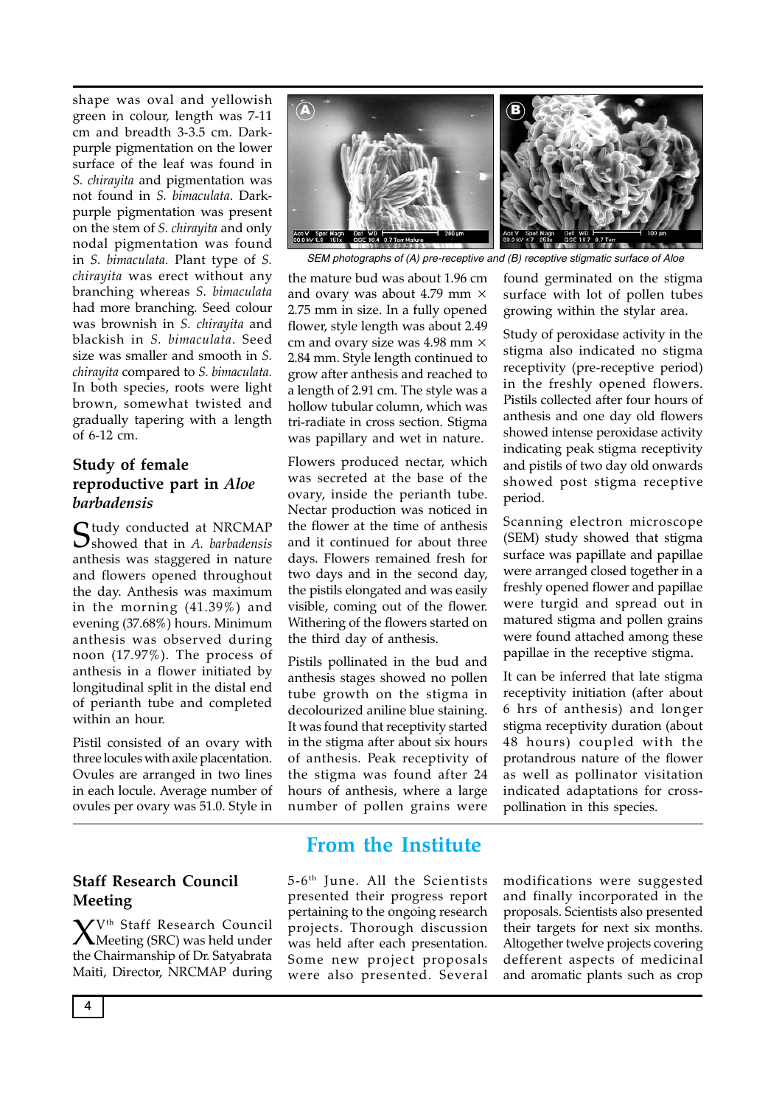shape was oval and yellowish green in colour, length was 7-11 cm and breadth 3-3.5 cm. Darkpurple pigmentation on the lower surface of the leaf was found in *S. chirayita* and pigmentation was not found in *S. bimaculata*. Darkpurple pigmentation was present on the stem of *S. chirayita* and only nodal pigmentation was found in *S. bimaculata.* Plant type of *S. chirayita* was erect without any branching whereas *S. bimaculata* had more branching*.* Seed colour was brownish in *S. chirayita* and blackish in *S. bimaculata*. Seed size was smaller and smooth in *S. chirayita* compared to *S. bimaculata.*  In both species, roots were light brown, somewhat twisted and gradually tapering with a length of 6-12 cm.

#### **Study of female reproductive part in** *Aloe barbadensis*

Study conducted at NRCMAP showed that in *A. barbadensis* anthesis was staggered in nature and flowers opened throughout the day. Anthesis was maximum in the morning (41.39%) and evening (37.68%) hours. Minimum anthesis was observed during noon (17.97%). The process of anthesis in a flower initiated by longitudinal split in the distal end of perianth tube and completed within an hour.

Pistil consisted of an ovary with three locules with axile placentation. Ovules are arranged in two lines in each locule. Average number of ovules per ovary was 51.0. Style in

#### **Staff Research Council Meeting**

 $X^{V^{th}}$  Staff Research Council<br>Meeting (SRC) was held under the Chairmanship of Dr. Satyabrata Maiti, Director, NRCMAP during



*SEM photographs of (A) pre-receptive and (B) receptive stigmatic surface of Aloe*

the mature bud was about 1.96 cm and ovary was about 4.79 mm × 2.75 mm in size. In a fully opened flower, style length was about 2.49 cm and ovary size was 4.98 mm × 2.84 mm. Style length continued to grow after anthesis and reached to a length of 2.91 cm. The style was a hollow tubular column, which was tri-radiate in cross section. Stigma was papillary and wet in nature.

Flowers produced nectar, which was secreted at the base of the ovary, inside the perianth tube. Nectar production was noticed in the flower at the time of anthesis and it continued for about three days. Flowers remained fresh for two days and in the second day, the pistils elongated and was easily visible, coming out of the flower. Withering of the flowers started on the third day of anthesis.

Pistils pollinated in the bud and anthesis stages showed no pollen tube growth on the stigma in decolourized aniline blue staining. It was found that receptivity started in the stigma after about six hours of anthesis. Peak receptivity of the stigma was found after 24 hours of anthesis, where a large number of pollen grains were

found germinated on the stigma surface with lot of pollen tubes growing within the stylar area.

Study of peroxidase activity in the stigma also indicated no stigma receptivity (pre-receptive period) in the freshly opened flowers. Pistils collected after four hours of anthesis and one day old flowers showed intense peroxidase activity indicating peak stigma receptivity and pistils of two day old onwards showed post stigma receptive period.

Scanning electron microscope (SEM) study showed that stigma surface was papillate and papillae were arranged closed together in a freshly opened flower and papillae were turgid and spread out in matured stigma and pollen grains were found attached among these papillae in the receptive stigma.

It can be inferred that late stigma receptivity initiation (after about 6 hrs of anthesis) and longer stigma receptivity duration (about 48 hours) coupled with the protandrous nature of the flower as well as pollinator visitation indicated adaptations for crosspollination in this species.

# **From the Institute**

5-6th June. All the Scientists presented their progress report pertaining to the ongoing research projects. Thorough discussion was held after each presentation. Some new project proposals were also presented. Several

modifications were suggested and finally incorporated in the proposals. Scientists also presented their targets for next six months. Altogether twelve projects covering defferent aspects of medicinal and aromatic plants such as crop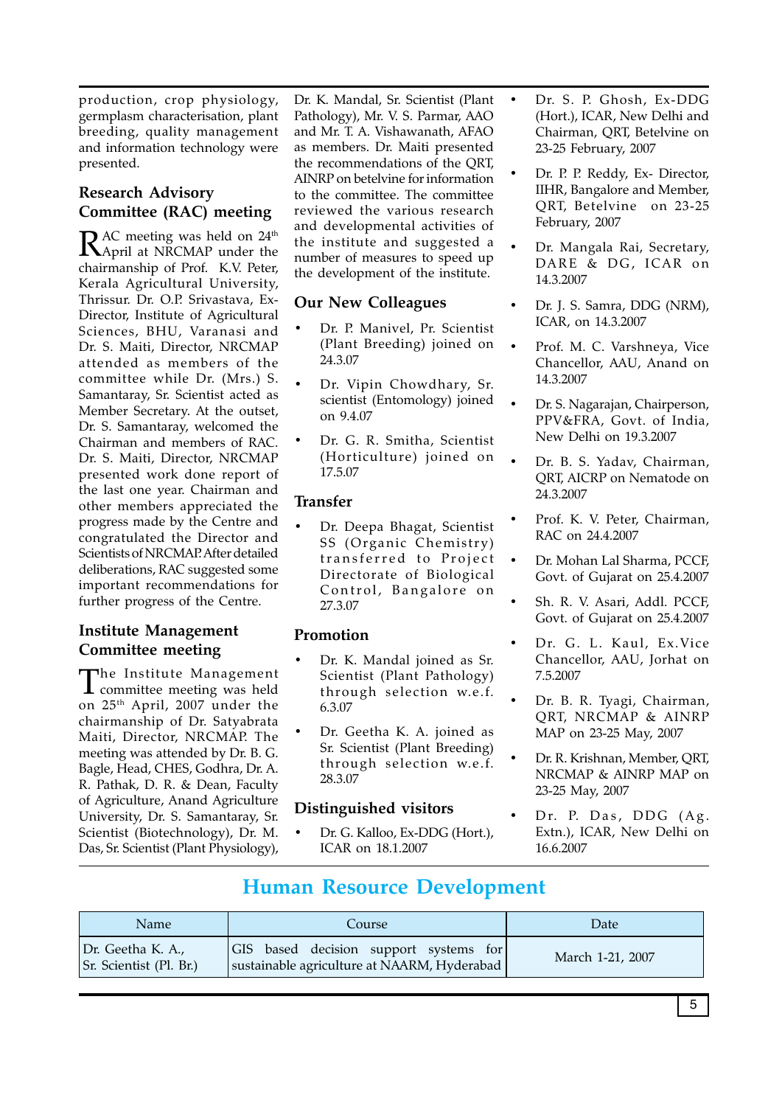production, crop physiology, germplasm characterisation, plant breeding, quality management and information technology were presented.

### **Research Advisory Committee (RAC) meeting**

RAC meeting was held on 24<sup>th</sup><br>April at NRCMAP under the chairmanship of Prof. K.V. Peter, Kerala Agricultural University, Thrissur. Dr. O.P. Srivastava, Ex-Director, Institute of Agricultural Sciences, BHU, Varanasi and Dr. S. Maiti, Director, NRCMAP attended as members of the committee while Dr. (Mrs.) S. Samantaray, Sr. Scientist acted as Member Secretary. At the outset, Dr. S. Samantaray, welcomed the Chairman and members of RAC. Dr. S. Maiti, Director, NRCMAP presented work done report of the last one year. Chairman and other members appreciated the progress made by the Centre and congratulated the Director and Scientists of NRCMAP. After detailed deliberations, RAC suggested some important recommendations for further progress of the Centre.

#### **Institute Management Committee meeting**

The Institute Management committee meeting was held on 25th April, 2007 under the chairmanship of Dr. Satyabrata Maiti, Director, NRCMAP. The meeting was attended by Dr. B. G. Bagle, Head, CHES, Godhra, Dr. A. R. Pathak, D. R. & Dean, Faculty of Agriculture, Anand Agriculture University, Dr. S. Samantaray, Sr. Scientist (Biotechnology), Dr. M. Das, Sr. Scientist (Plant Physiology),

Dr. K. Mandal, Sr. Scientist (Plant Pathology), Mr. V. S. Parmar, AAO and Mr. T. A. Vishawanath, AFAO as members. Dr. Maiti presented the recommendations of the QRT, AINRP on betelvine for information to the committee. The committee reviewed the various research and developmental activities of the institute and suggested a number of measures to speed up the development of the institute.

#### **Our New Colleagues**

- Dr. P. Manivel, Pr. Scientist (Plant Breeding) joined on 24.3.07
- Dr. Vipin Chowdhary, Sr. scientist (Entomology) joined on 9.4.07
- Dr. G. R. Smitha, Scientist (Horticulture) joined on 17.5.07

#### **Transfer**

Dr. Deepa Bhagat, Scientist SS (Organic Chemistry) transferred to Project Directorate of Biological Control, Bangalore on 27.3.07

#### **Promotion**

- Dr. K. Mandal joined as Sr. Scientist (Plant Pathology) through selection w.e.f. 6.3.07
- Dr. Geetha K. A. joined as Sr. Scientist (Plant Breeding) through selection w.e.f. 28.3.07

#### **Distinguished visitors**

Dr. G. Kalloo, Ex-DDG (Hort.), ICAR on 18.1.2007

- Dr. S. P. Ghosh, Ex-DDG (Hort.), ICAR, New Delhi and Chairman, QRT, Betelvine on 23-25 February, 2007
- Dr. P. P. Reddy, Ex- Director, IIHR, Bangalore and Member, QRT, Betelvine on 23-25 February, 2007
- Dr. Mangala Rai, Secretary, DARE & DG, ICAR on 14.3.2007
- Dr. J. S. Samra, DDG (NRM), ICAR, on 14.3.2007
- Prof. M. C. Varshneya, Vice Chancellor, AAU, Anand on 14.3.2007
- Dr. S. Nagarajan, Chairperson, PPV&FRA, Govt. of India, New Delhi on 19.3.2007
- Dr. B. S. Yadav, Chairman, QRT, AICRP on Nematode on 24.3.2007
- Prof. K. V. Peter, Chairman, RAC on 24.4.2007
- Dr. Mohan Lal Sharma, PCCF, Govt. of Gujarat on 25.4.2007
- Sh. R. V. Asari, Addl. PCCF, Govt. of Gujarat on 25.4.2007
- Dr. G. L. Kaul, Ex. Vice Chancellor, AAU, Jorhat on 7.5.2007
- Dr. B. R. Tyagi, Chairman, QRT, NRCMAP & AINRP MAP on 23-25 May, 2007
- Dr. R. Krishnan, Member, QRT, NRCMAP & AINRP MAP on 23-25 May, 2007
- Dr. P. Das, DDG (Ag. Extn.), ICAR, New Delhi on 16.6.2007

# **Human Resource Development**

| <b>Name</b>                                  | Course                                                                                  | Date             |
|----------------------------------------------|-----------------------------------------------------------------------------------------|------------------|
| Dr. Geetha K. A.,<br>Sr. Scientist (Pl. Br.) | GIS based decision support systems for<br>  sustainable agriculture at NAARM, Hyderabad | March 1-21, 2007 |